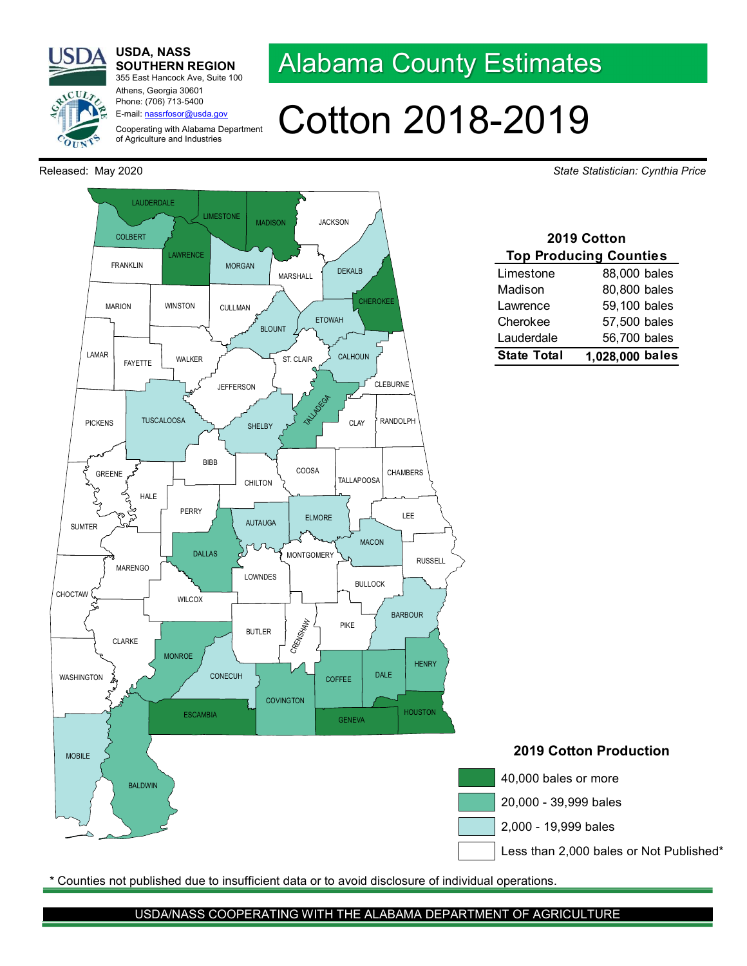

USDA, NASS SOUTHERN REGION 355 East Hancock Ave, Suite 100

Athens, Georgia 30601

## Phone: (706) 713-5400 E-mail: nassrfosor@usda.gov Cooperating with Alabama Department of Agriculture and Industries



## Cotton 2018-2019

Released: May 2020 **State Statistician: Cynthia Price** Statistician: Cynthia Price



\* Counties not published due to insufficient data or to avoid disclosure of individual operations.